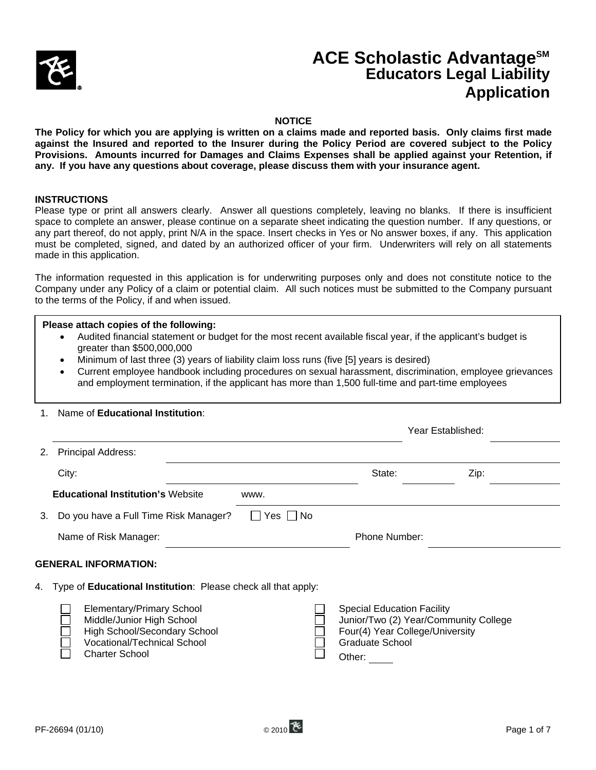

# **ACE Scholastic AdvantageSM Educators Legal Liability Application**

### **NOTICE**

**The Policy for which you are applying is written on a claims made and reported basis. Only claims first made against the Insured and reported to the Insurer during the Policy Period are covered subject to the Policy Provisions. Amounts incurred for Damages and Claims Expenses shall be applied against your Retention, if any. If you have any questions about coverage, please discuss them with your insurance agent.** 

### **INSTRUCTIONS**

l

Please type or print all answers clearly. Answer all questions completely, leaving no blanks. If there is insufficient space to complete an answer, please continue on a separate sheet indicating the question number. If any questions, or any part thereof, do not apply, print N/A in the space. Insert checks in Yes or No answer boxes, if any. This application must be completed, signed, and dated by an authorized officer of your firm. Underwriters will rely on all statements made in this application.

The information requested in this application is for underwriting purposes only and does not constitute notice to the Company under any Policy of a claim or potential claim. All such notices must be submitted to the Company pursuant to the terms of the Policy, if and when issued.

#### **Please attach copies of the following:**

- Audited financial statement or budget for the most recent available fiscal year, if the applicant's budget is greater than \$500,000,000
- Minimum of last three (3) years of liability claim loss runs (five [5] years is desired)
- Current employee handbook including procedures on sexual harassment, discrimination, employee grievances and employment termination, if the applicant has more than 1,500 full-time and part-time employees

#### 1. Name of **Educational Institution**:

|                             |                                                                                                                                                              |                      |                                                                       | Year Established:                                                        |  |
|-----------------------------|--------------------------------------------------------------------------------------------------------------------------------------------------------------|----------------------|-----------------------------------------------------------------------|--------------------------------------------------------------------------|--|
| 2.                          | <b>Principal Address:</b>                                                                                                                                    |                      |                                                                       |                                                                          |  |
|                             | City:                                                                                                                                                        |                      | State:                                                                | Zip:                                                                     |  |
|                             | <b>Educational Institution's Website</b>                                                                                                                     | www.                 |                                                                       |                                                                          |  |
| 3.                          | Do you have a Full Time Risk Manager?                                                                                                                        | $\Box$ Yes $\Box$ No |                                                                       |                                                                          |  |
|                             | Name of Risk Manager:                                                                                                                                        |                      | Phone Number:                                                         |                                                                          |  |
| <b>GENERAL INFORMATION:</b> |                                                                                                                                                              |                      |                                                                       |                                                                          |  |
| 4.                          | Type of Educational Institution: Please check all that apply:                                                                                                |                      |                                                                       |                                                                          |  |
|                             | <b>Elementary/Primary School</b><br>Middle/Junior High School<br>High School/Secondary School<br><b>Vocational/Technical School</b><br><b>Charter School</b> |                      | <b>Special Education Facility</b><br><b>Graduate School</b><br>Other: | Junior/Two (2) Year/Community College<br>Four(4) Year College/University |  |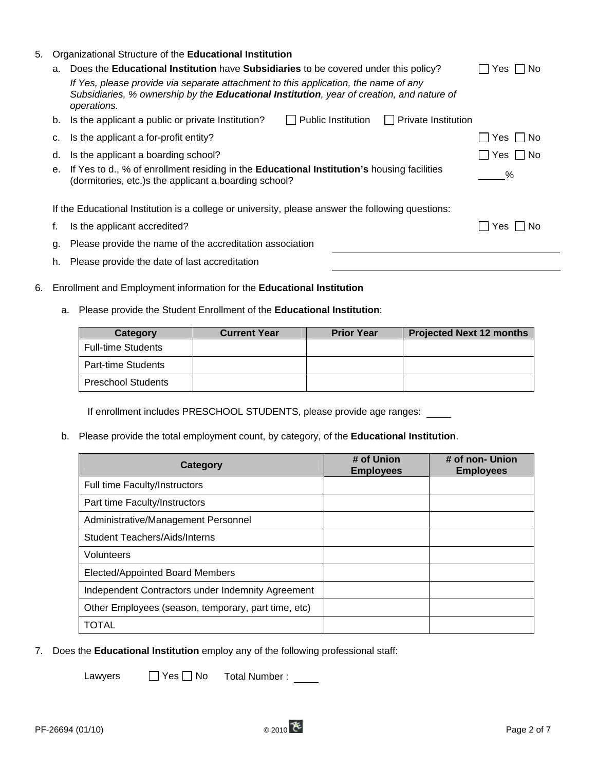| 5. | Organizational Structure of the Educational Institution |                                                                                                       |            |  |  |
|----|---------------------------------------------------------|-------------------------------------------------------------------------------------------------------|------------|--|--|
|    | a.                                                      | Does the Educational Institution have Subsidiaries to be covered under this policy?                   | No.<br>Yes |  |  |
|    |                                                         |                                                                                                       |            |  |  |
|    | b.                                                      | Public Institution<br><b>Private Institution</b><br>Is the applicant a public or private Institution? |            |  |  |
|    | c.                                                      | Is the applicant a for-profit entity?                                                                 | No.<br>Yes |  |  |
|    | d.                                                      | Is the applicant a boarding school?                                                                   | No.<br>Yes |  |  |
|    | е.                                                      | ℅                                                                                                     |            |  |  |
|    |                                                         | If the Educational Institution is a college or university, please answer the following questions:     |            |  |  |
|    | f.                                                      | Is the applicant accredited?                                                                          | No.<br>Yes |  |  |
|    | g.                                                      |                                                                                                       |            |  |  |
|    | h.                                                      | Please provide the date of last accreditation                                                         |            |  |  |

- 6. Enrollment and Employment information for the **Educational Institution**
	- a. Please provide the Student Enrollment of the **Educational Institution**:

| Category                  | <b>Current Year</b> | <b>Prior Year</b> | <b>Projected Next 12 months</b> |
|---------------------------|---------------------|-------------------|---------------------------------|
| <b>Full-time Students</b> |                     |                   |                                 |
| Part-time Students        |                     |                   |                                 |
| <b>Preschool Students</b> |                     |                   |                                 |

If enrollment includes PRESCHOOL STUDENTS, please provide age ranges:

b. Please provide the total employment count, by category, of the **Educational Institution**.

| Category                                            | # of Union<br><b>Employees</b> | # of non- Union<br><b>Employees</b> |
|-----------------------------------------------------|--------------------------------|-------------------------------------|
| Full time Faculty/Instructors                       |                                |                                     |
| Part time Faculty/Instructors                       |                                |                                     |
| Administrative/Management Personnel                 |                                |                                     |
| <b>Student Teachers/Aids/Interns</b>                |                                |                                     |
| Volunteers                                          |                                |                                     |
| Elected/Appointed Board Members                     |                                |                                     |
| Independent Contractors under Indemnity Agreement   |                                |                                     |
| Other Employees (season, temporary, part time, etc) |                                |                                     |
| <b>TOTAL</b>                                        |                                |                                     |

7. Does the **Educational Institution** employ any of the following professional staff:

Lawyers  $\Box$  Yes  $\Box$  No Total Number :  $\Box$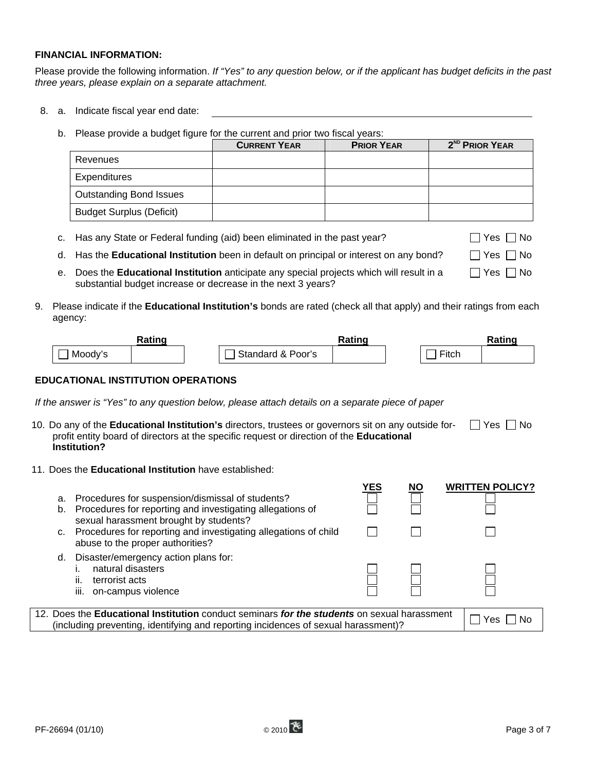## **FINANCIAL INFORMATION:**

Please provide the following information. *If "Yes" to any question below, or if the applicant has budget deficits in the past three years, please explain on a separate attachment.* 

- 8. a. Indicate fiscal year end date:
	- b. Please provide a budget figure for the current and prior two fiscal years:

|                                 | <b>CURRENT YEAR</b> | <b>PRIOR YEAR</b> | 2 <sup>ND</sup> PRIOR YEAR |
|---------------------------------|---------------------|-------------------|----------------------------|
| Revenues                        |                     |                   |                            |
| Expenditures                    |                     |                   |                            |
| <b>Outstanding Bond Issues</b>  |                     |                   |                            |
| <b>Budget Surplus (Deficit)</b> |                     |                   |                            |

| c. Has any State or Federal funding (aid) been eliminated in the past year?                     | $\Box$ Yes $\Box$ No |
|-------------------------------------------------------------------------------------------------|----------------------|
| d. Has the <b>Educational Institution</b> been in default on principal or interest on any bond? | $\Box$ Yes $\Box$ No |

- e. Does the **Educational Institution** anticipate any special projects which will result in a substantial budget increase or decrease in the next 3 years?  $\Box$  Yes  $\Box$  No
- 9. Please indicate if the **Educational Institution's** bonds are rated (check all that apply) and their ratings from each agency:

|         | Rating |                   | Rating |                      | Rating |
|---------|--------|-------------------|--------|----------------------|--------|
| Moody's |        | Standard & Poor's |        | $- \cdot$ .<br>lici. |        |

### **EDUCATIONAL INSTITUTION OPERATIONS**

*If the answer is "Yes" to any question below, please attach details on a separate piece of paper* 

- 10. Do any of the **Educational Institution's** directors, trustees or governors sit on any outside forprofit entity board of directors at the specific request or direction of the **Educational Institution?**  $\Box$  Yes  $\Box$  No
- 11. Does the **Educational Institution** have established:

| a.<br>b. | Procedures for suspension/dismissal of students?<br>Procedures for reporting and investigating allegations of                                                                            | YES | ΝO | <b>WRITTEN POLICY?</b> |
|----------|------------------------------------------------------------------------------------------------------------------------------------------------------------------------------------------|-----|----|------------------------|
| C.       | sexual harassment brought by students?<br>Procedures for reporting and investigating allegations of child<br>abuse to the proper authorities?                                            |     |    |                        |
| d.       | Disaster/emergency action plans for:<br>natural disasters<br>terrorist acts<br>ii.<br>iii.<br>on-campus violence                                                                         |     |    |                        |
|          | 12. Does the <b>Educational Institution</b> conduct seminars for the students on sexual harassment<br>(including preventing, identifying and reporting incidences of sexual harassment)? |     |    | Yes                    |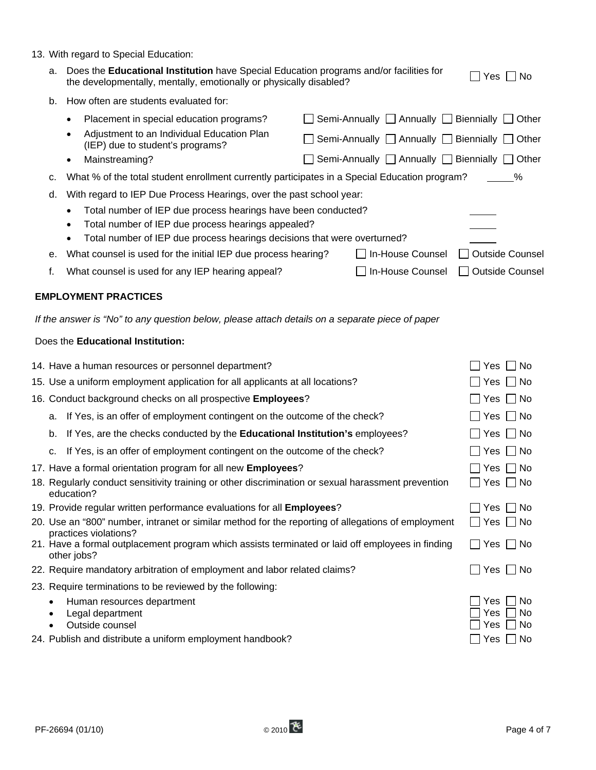- a. Does the **Educational Institution** have Special Education programs and/or facilities for Does the **Educational institution** have special Education programs and/or lacilities for  $\Box$  Yes  $\Box$  No the developmentally, mentally, emotionally or physically disabled?
- b. How often are students evaluated for:

| TIOW OILSIT ALE SLUUSTILS EVAILATED IDT.                                                            |                                                                 |  |  |  |  |
|-----------------------------------------------------------------------------------------------------|-----------------------------------------------------------------|--|--|--|--|
| Placement in special education programs?<br>$\bullet$                                               | Semi-Annually $\Box$ Annually $\Box$ Biennially $\Box$<br>Other |  |  |  |  |
| Adjustment to an Individual Education Plan<br>$\bullet$<br>(IEP) due to student's programs?         | Semi-Annually   Annually   Biennially   Other                   |  |  |  |  |
| Mainstreaming?<br>$\bullet$                                                                         | Semi-Annually   Annually   Biennially  <br>Other                |  |  |  |  |
| What % of the total student enrollment currently participates in a Special Education program?<br>c. | %                                                               |  |  |  |  |
| With regard to IEP Due Process Hearings, over the past school year:<br>d.                           |                                                                 |  |  |  |  |
| Total number of IEP due process hearings have been conducted?<br>$\bullet$                          |                                                                 |  |  |  |  |
| Total number of IEP due process hearings appealed?<br>$\bullet$                                     |                                                                 |  |  |  |  |
| Total number of IEP due process hearings decisions that were overturned?<br>$\bullet$               |                                                                 |  |  |  |  |
| What counsel is used for the initial IEP due process hearing?<br>е.                                 | <b>Outside Counsel</b><br>In-House Counsel                      |  |  |  |  |
| f.<br>What counsel is used for any IEP hearing appeal?                                              | In-House Counsel<br><b>Outside Counsel</b>                      |  |  |  |  |
| <b>EMPLOYMENT PRACTICES</b>                                                                         |                                                                 |  |  |  |  |
| If the answer is "No" to any question below, please attach details on a separate piece of paper     |                                                                 |  |  |  |  |
| Does the Educational Institution:                                                                   |                                                                 |  |  |  |  |
| 14. Have a human resources or personnel department?                                                 | No.<br>Yes                                                      |  |  |  |  |
| 15. Use a uniform employment application for all applicants at all locations?                       | Yes I I No                                                      |  |  |  |  |
| 16. Conduct background checks on all prospective Employees?                                         | l No<br>Yes.                                                    |  |  |  |  |
| If Yes, is an offer of employment contingent on the outcome of the check?<br>a.                     | $\Box$ No<br>Yes                                                |  |  |  |  |
| If Yes, are the checks conducted by the Educational Institution's employees?<br>b.                  | Yes $\Box$ No                                                   |  |  |  |  |
| c. If Yes, is an offer of employment contingent on the outcome of the check?                        | Yes<br>- I No                                                   |  |  |  |  |

17. Have a formal orientation program for all new **Employees**? <br>
The Second Mondon Program for all new **Employees**? 18. Regularly conduct sensitivity training or other discrimination or sexual harassment prevention

| education?                                                                                                                               |           |
|------------------------------------------------------------------------------------------------------------------------------------------|-----------|
| 19. Provide regular written performance evaluations for all Employees?                                                                   | Yes No    |
| 20. Use an "800" number, intranet or similar method for the reporting of allegations of employment                                       | Yes    No |
| practices violations?<br>21. Have a formal outplacement program which assists terminated or laid off employees in finding<br>other jobs? | Yes   No  |
| 22. Require mandatory arbitration of employment and labor related claims?                                                                | Yes<br>No |

- 23. Require terminations to be reviewed by the following:
	- Human resources department  $\Box$  Yes  $\Box$  No
	- Legal department  $\Box$  Yes  $\Box$  No
	- Outside counsel  $\Box$  Yes  $\Box$  No
- 24. Publish and distribute a uniform employment handbook?  $\Box$  Yes  $\Box$  Yes  $\Box$  No

 $\Box$  Yes  $\Box$  No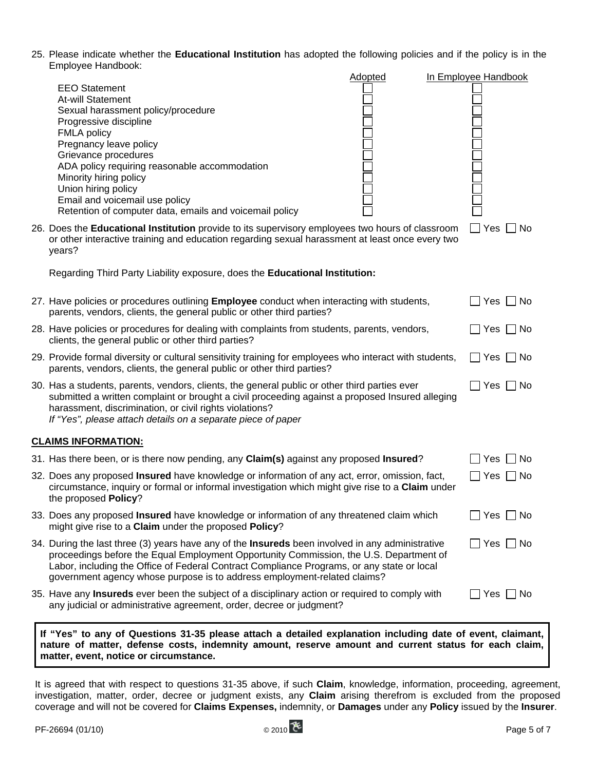25. Please indicate whether the **Educational Institution** has adopted the following policies and if the policy is in the Employee Handbook:

| Lilipiuy <del>cc</del> Hallupuun.                                                                                                                                                                                                                                                                                                                                                | Adopted | In Employee Handbook               |
|----------------------------------------------------------------------------------------------------------------------------------------------------------------------------------------------------------------------------------------------------------------------------------------------------------------------------------------------------------------------------------|---------|------------------------------------|
| <b>EEO Statement</b><br>At-will Statement<br>Sexual harassment policy/procedure<br>Progressive discipline<br><b>FMLA policy</b><br>Pregnancy leave policy<br>Grievance procedures<br>ADA policy requiring reasonable accommodation<br>Minority hiring policy<br>Union hiring policy<br>Email and voicemail use policy<br>Retention of computer data, emails and voicemail policy |         |                                    |
| 26. Does the <b>Educational Institution</b> provide to its supervisory employees two hours of classroom<br>or other interactive training and education regarding sexual harassment at least once every two<br>years?                                                                                                                                                             |         | Yes<br><b>No</b>                   |
| Regarding Third Party Liability exposure, does the Educational Institution:                                                                                                                                                                                                                                                                                                      |         |                                    |
| 27. Have policies or procedures outlining <b>Employee</b> conduct when interacting with students,<br>parents, vendors, clients, the general public or other third parties?                                                                                                                                                                                                       |         | Yes $\Box$ No                      |
| 28. Have policies or procedures for dealing with complaints from students, parents, vendors,<br>clients, the general public or other third parties?                                                                                                                                                                                                                              |         | Yes [<br>∣No                       |
| 29. Provide formal diversity or cultural sensitivity training for employees who interact with students,<br>parents, vendors, clients, the general public or other third parties?                                                                                                                                                                                                 |         | $\perp$<br>Yes $\Box$ No           |
| 30. Has a students, parents, vendors, clients, the general public or other third parties ever<br>submitted a written complaint or brought a civil proceeding against a proposed Insured alleging<br>harassment, discrimination, or civil rights violations?<br>If "Yes", please attach details on a separate piece of paper                                                      |         | ∐ Yes _ No                         |
| <b>CLAIMS INFORMATION:</b>                                                                                                                                                                                                                                                                                                                                                       |         |                                    |
| 31. Has there been, or is there now pending, any Claim(s) against any proposed Insured?                                                                                                                                                                                                                                                                                          |         | __ No<br>Yes                       |
| 32. Does any proposed <b>Insured</b> have knowledge or information of any act, error, omission, fact,<br>circumstance, inquiry or formal or informal investigation which might give rise to a Claim under<br>the proposed Policy?                                                                                                                                                |         | Yes [<br>$\Box$ No                 |
| 33. Does any proposed <b>Insured</b> have knowledge or information of any threatened claim which<br>might give rise to a Claim under the proposed Policy?                                                                                                                                                                                                                        |         | Yes  <br>__  No                    |
| 34. During the last three (3) years have any of the <b>Insureds</b> been involved in any administrative<br>proceedings before the Equal Employment Opportunity Commission, the U.S. Department of<br>Labor, including the Office of Federal Contract Compliance Programs, or any state or local<br>government agency whose purpose is to address employment-related claims?      |         | $\mathsf{L}$<br>$Yes \bigsqcup No$ |
| 35. Have any <b>Insureds</b> ever been the subject of a disciplinary action or required to comply with<br>any judicial or administrative agreement, order, decree or judgment?                                                                                                                                                                                                   |         | Yes $\Box$ No                      |
|                                                                                                                                                                                                                                                                                                                                                                                  |         |                                    |

**If "Yes" to any of Questions 31-35 please attach a detailed explanation including date of event, claimant, nature of matter, defense costs, indemnity amount, reserve amount and current status for each claim, matter, event, notice or circumstance.** 

It is agreed that with respect to questions 31-35 above, if such **Claim**, knowledge, information, proceeding, agreement, investigation, matter, order, decree or judgment exists, any **Claim** arising therefrom is excluded from the proposed coverage and will not be covered for **Claims Expenses,** indemnity, or **Damages** under any **Policy** issued by the **Insurer**.

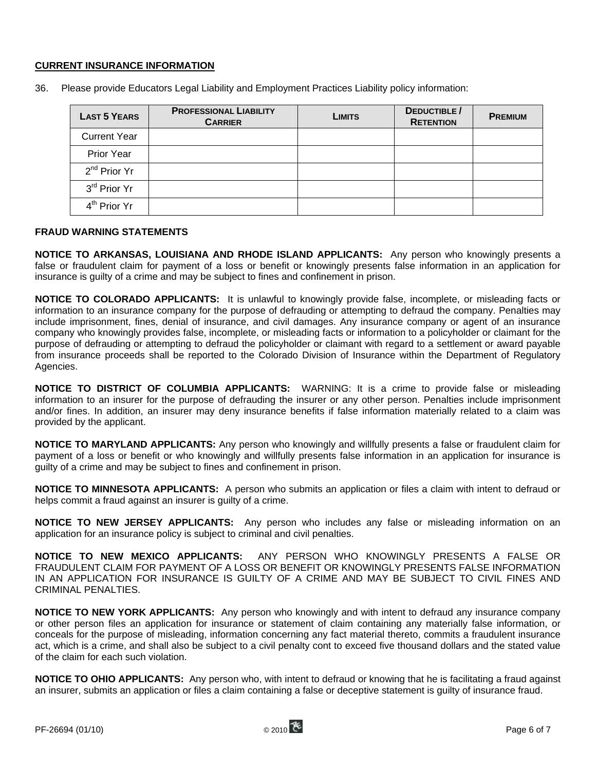## **CURRENT INSURANCE INFORMATION**

| <b>LAST 5 YEARS</b>      | <b>PROFESSIONAL LIABILITY</b><br><b>CARRIER</b> | <b>LIMITS</b> | DEDUCTIBLE /<br><b>RETENTION</b> | <b>PREMIUM</b> |
|--------------------------|-------------------------------------------------|---------------|----------------------------------|----------------|
| <b>Current Year</b>      |                                                 |               |                                  |                |
| <b>Prior Year</b>        |                                                 |               |                                  |                |
| $2^{nd}$ Prior Yr        |                                                 |               |                                  |                |
| 3 <sup>rd</sup> Prior Yr |                                                 |               |                                  |                |
| 4 <sup>th</sup> Prior Yr |                                                 |               |                                  |                |

36. Please provide Educators Legal Liability and Employment Practices Liability policy information:

# **FRAUD WARNING STATEMENTS**

**NOTICE TO ARKANSAS, LOUISIANA AND RHODE ISLAND APPLICANTS:** Any person who knowingly presents a false or fraudulent claim for payment of a loss or benefit or knowingly presents false information in an application for insurance is guilty of a crime and may be subject to fines and confinement in prison.

**NOTICE TO COLORADO APPLICANTS:** It is unlawful to knowingly provide false, incomplete, or misleading facts or information to an insurance company for the purpose of defrauding or attempting to defraud the company. Penalties may include imprisonment, fines, denial of insurance, and civil damages. Any insurance company or agent of an insurance company who knowingly provides false, incomplete, or misleading facts or information to a policyholder or claimant for the purpose of defrauding or attempting to defraud the policyholder or claimant with regard to a settlement or award payable from insurance proceeds shall be reported to the Colorado Division of Insurance within the Department of Regulatory Agencies.

**NOTICE TO DISTRICT OF COLUMBIA APPLICANTS:** WARNING: It is a crime to provide false or misleading information to an insurer for the purpose of defrauding the insurer or any other person. Penalties include imprisonment and/or fines. In addition, an insurer may deny insurance benefits if false information materially related to a claim was provided by the applicant.

**NOTICE TO MARYLAND APPLICANTS:** Any person who knowingly and willfully presents a false or fraudulent claim for payment of a loss or benefit or who knowingly and willfully presents false information in an application for insurance is guilty of a crime and may be subject to fines and confinement in prison.

**NOTICE TO MINNESOTA APPLICANTS:** A person who submits an application or files a claim with intent to defraud or helps commit a fraud against an insurer is guilty of a crime.

**NOTICE TO NEW JERSEY APPLICANTS:** Any person who includes any false or misleading information on an application for an insurance policy is subject to criminal and civil penalties.

**NOTICE TO NEW MEXICO APPLICANTS:** ANY PERSON WHO KNOWINGLY PRESENTS A FALSE OR FRAUDULENT CLAIM FOR PAYMENT OF A LOSS OR BENEFIT OR KNOWINGLY PRESENTS FALSE INFORMATION IN AN APPLICATION FOR INSURANCE IS GUILTY OF A CRIME AND MAY BE SUBJECT TO CIVIL FINES AND CRIMINAL PENALTIES.

**NOTICE TO NEW YORK APPLICANTS:** Any person who knowingly and with intent to defraud any insurance company or other person files an application for insurance or statement of claim containing any materially false information, or conceals for the purpose of misleading, information concerning any fact material thereto, commits a fraudulent insurance act, which is a crime, and shall also be subject to a civil penalty cont to exceed five thousand dollars and the stated value of the claim for each such violation.

**NOTICE TO OHIO APPLICANTS:** Any person who, with intent to defraud or knowing that he is facilitating a fraud against an insurer, submits an application or files a claim containing a false or deceptive statement is guilty of insurance fraud.